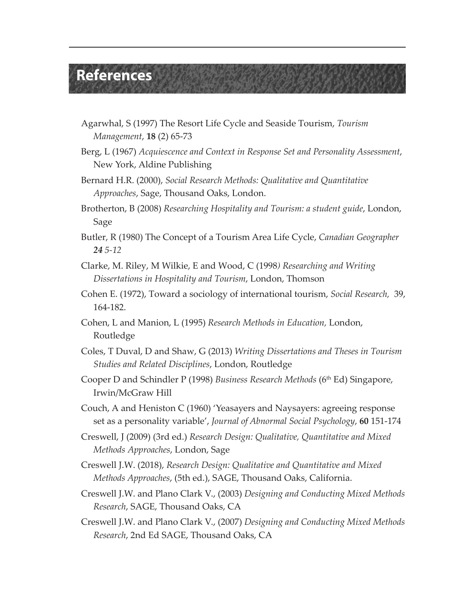## **References**

- Agarwhal, S (1997) The Resort Life Cycle and Seaside Tourism, *Tourism Management*, **18** (2) 65-73
- Berg, L (1967) *Acquiescence and Context in Response Set and Personality Assessment*, New York, Aldine Publishing
- Bernard H.R. (2000), *Social Research Methods: Qualitative and Quantitative Approaches*, Sage, Thousand Oaks, London.
- Brotherton, B (2008) *Researching Hospitality and Tourism: a student guide*, London, Sage
- Butler, R (1980) The Concept of a Tourism Area Life Cycle, *Canadian Geographer 24 5-12*
- Clarke, M. Riley, M Wilkie, E and Wood, C (1998*) Researching and Writing Dissertations in Hospitality and Tourism*, London, Thomson
- Cohen E. (1972), Toward a sociology of international tourism, *Social Research,* 39, 164-182.
- Cohen, L and Manion, L (1995) *Research Methods in Education,* London, Routledge
- Coles, T Duval, D and Shaw, G (2013) *Writing Dissertations and Theses in Tourism Studies and Related Disciplines*, London, Routledge
- Cooper D and Schindler P (1998) *Business Research Methods* (6th Ed) Singapore, Irwin/McGraw Hill
- Couch, A and Heniston C (1960) 'Yeasayers and Naysayers: agreeing response set as a personality variable', *Journal of Abnormal Social Psychology*, **60** 151-174
- Creswell, J (2009) (3rd ed.) *Research Design: Qualitative, Quantitative and Mixed Methods Approaches*, London, Sage
- Creswell J.W. (2018), *Research Design: Qualitative and Quantitative and Mixed Methods Approaches*, (5th ed.), SAGE, Thousand Oaks, California.
- Creswell J.W. and Plano Clark V., (2003) *Designing and Conducting Mixed Methods Research*, SAGE, Thousand Oaks, CA
- Creswell J.W. and Plano Clark V., (2007) *Designing and Conducting Mixed Methods Research*, 2nd Ed SAGE, Thousand Oaks, CA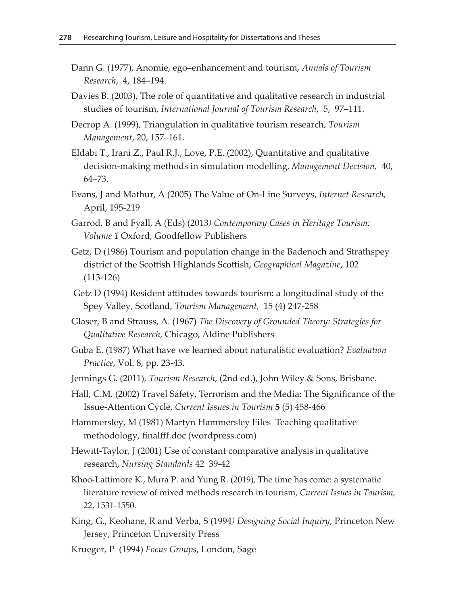- Dann G. (1977), Anomie, ego–enhancement and tourism, *Annals of Tourism Research*, 4, 184–194.
- Davies B. (2003), The role of quantitative and qualitative research in industrial studies of tourism, *International Journal of Tourism Research*, 5, 97–111.
- Decrop A. (1999), Triangulation in qualitative tourism research*, Tourism Management*, 20, 157–161.
- Eldabi T., Irani Z., Paul R.J., Love, P.E. (2002), Quantitative and qualitative decision-making methods in simulation modelling, *Management Decision,* 40, 64–73.
- Evans, J and Mathur, A (2005) The Value of On-Line Surveys, *Internet Research,* April, 195-219
- Garrod, B and Fyall, A (Eds) (2013*) Contemporary Cases in Heritage Tourism: Volume 1* Oxford, Goodfellow Publishers
- Getz, D (1986) Tourism and population change in the Badenoch and Strathspey district of the Scottish Highlands Scottish, *Geographical Magazine*, 102 (113-126)
- Getz D (1994) Resident attitudes towards tourism: a longitudinal study of the Spey Valley, Scotland, *Tourism Management,* 15 (4) 247-258
- Glaser, B and Strauss, A. (1967) *The Discovery of Grounded Theory: Strategies for Qualitative Research,* Chicago, Aldine Publishers
- Guba E. (1987) What have we learned about naturalistic evaluation? *Evaluation Practice*, Vol. 8, pp. 23-43.
- Jennings G. (2011), *Tourism Research*, (2nd ed.), John Wiley & Sons, Brisbane.
- Hall, C.M. (2002) Travel Safety, Terrorism and the Media: The Significance of the Issue-Attention Cycle, *Current Issues in Tourism* **5** (5) 458-466
- Hammersley, M (1981) Martyn Hammersley Files [Teaching qualitative](https://martynhammersley.files.wordpress.com/2013/05/teaching-qualitative-methodology-finalfff1.pdf)  [methodology, finalfff.doc \(wordpress.com\)](https://martynhammersley.files.wordpress.com/2013/05/teaching-qualitative-methodology-finalfff1.pdf)
- Hewitt-Taylor, J (2001) Use of constant comparative analysis in qualitative research, *Nursing Standards* 42 39-42
- Khoo-Lattimore K., Mura P. and Yung R. (2019), The time has come: a systematic literature review of mixed methods research in tourism, *Current Issues in Tourism,* 22, 1531-1550.
- King, G., Keohane, R and Verba, S (1994*) Designing Social Inquiry*, Princeton New Jersey, Princeton University Press
- Krueger, P (1994) *Focus Groups*, London, Sage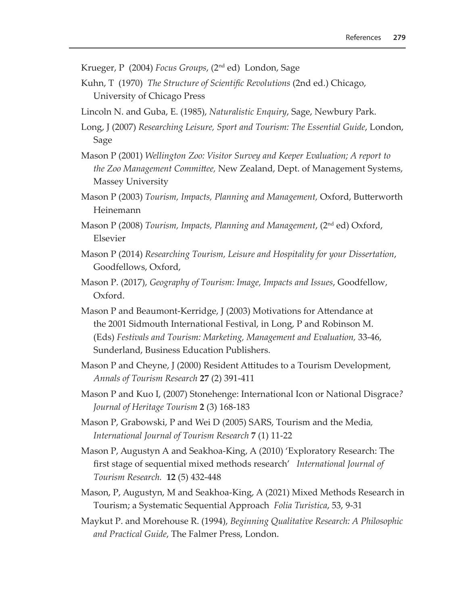Krueger, P (2004) *Focus Groups*, (2nd ed) London, Sage

- Kuhn, T (1970) *The Structure of Scientific Revolutions* (2nd ed.) Chicago, University of Chicago Press
- Lincoln N. and Guba, E. (1985), *Naturalistic Enquiry*, Sage, Newbury Park.
- Long, J (2007) *Researching Leisure, Sport and Tourism: The Essential Guide*, London, Sage
- Mason P (2001) *Wellington Zoo: Visitor Survey and Keeper Evaluation; A report to the Zoo Management Committee,* New Zealand, Dept. of Management Systems, Massey University
- Mason P (2003) *Tourism, Impacts, Planning and Management,* Oxford, Butterworth Heinemann
- Mason P (2008) *Tourism, Impacts, Planning and Management*, (2nd ed) Oxford, Elsevier
- Mason P (2014) *Researching Tourism, Leisure and Hospitality for your Dissertation*, Goodfellows, Oxford,
- Mason P. (2017), *Geography of Tourism: Image, Impacts and Issues*, Goodfellow, Oxford.
- Mason P and Beaumont-Kerridge, J (2003) Motivations for Attendance at the 2001 Sidmouth International Festival, in Long, P and Robinson M. (Eds) *Festivals and Tourism: Marketing, Management and Evaluation,* 33-46, Sunderland, Business Education Publishers.
- Mason P and Cheyne, J (2000) Resident Attitudes to a Tourism Development, *Annals of Tourism Research* **27** (2) 391-411
- Mason P and Kuo I, (2007) Stonehenge: International Icon or National Disgrace*? Journal of Heritage Tourism* **2** (3) 168-183
- Mason P, Grabowski, P and Wei D (2005) SARS, Tourism and the Media*, International Journal of Tourism Research* **7** (1) 11-22
- Mason P, Augustyn A and Seakhoa-King, A (2010) 'Exploratory Research: The first stage of sequential mixed methods research' *International Journal of Tourism Research.* **12** (5) 432-448
- Mason, P, Augustyn, M and Seakhoa-King, A (2021) Mixed Methods Research in Tourism; a Systematic Sequential Approach *Folia Turistica*, 53, 9-31
- Maykut P. and Morehouse R. (1994), *Beginning Qualitative Research: A Philosophic and Practical Guide*, The Falmer Press, London.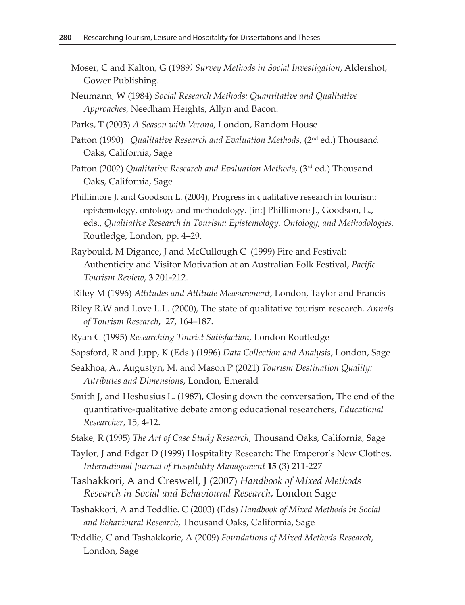- Moser, C and Kalton, G (1989*) Survey Methods in Social Investigation*, Aldershot, Gower Publishing.
- Neumann, W (1984) *Social Research Methods: Quantitative and Qualitative Approaches*, Needham Heights, Allyn and Bacon.
- Parks, T (2003) *A Season with Verona*, London, Random House
- Patton (1990) *Qualitative Research and Evaluation Methods*, (2nd ed.) Thousand Oaks, California, Sage
- Patton (2002) *Qualitative Research and Evaluation Methods*, (3rd ed.) Thousand Oaks, California, Sage
- Phillimore J. and Goodson L. (2004), Progress in qualitative research in tourism: epistemology, ontology and methodology. [in:] Phillimore J., Goodson, L., eds., *Qualitative Research in Tourism: Epistemology, Ontology, and Methodologies,* Routledge, London, pp. 4–29.
- Raybould, M Digance, J and McCullough C (1999) Fire and Festival: Authenticity and Visitor Motivation at an Australian Folk Festival, *Pacific Tourism Review*, **3** 201-212.
- Riley M (1996) *Attitudes and Attitude Measurement*, London, Taylor and Francis
- Riley R.W and Love L.L. (2000), The state of qualitative tourism research*. Annals of Tourism Research*, 27, 164–187.
- Ryan C (1995) *Researching Tourist Satisfaction*, London Routledge
- Sapsford, R and Jupp, K (Eds.) (1996) *Data Collection and Analysis*, London, Sage
- Seakhoa, A., Augustyn, M. and Mason P (2021) *Tourism Destination Quality: Attributes and Dimensions*, London, Emerald
- Smith J, and Heshusius L. (1987), Closing down the conversation, The end of the quantitative-qualitative debate among educational researchers, *Educational Researcher*, 15, 4-12.
- Stake, R (1995) *The Art of Case Study Research*, Thousand Oaks, California, Sage
- Taylor, J and Edgar D (1999) Hospitality Research: The Emperor's New Clothes. *International Journal of Hospitality Management* **15** (3) 211-227
- Tashakkori, A and Creswell, J (2007) *Handbook of Mixed Methods Research in Social and Behavioural Research*, London Sage
- Tashakkori, A and Teddlie. C (2003) (Eds) *Handbook of Mixed Methods in Social and Behavioural Research*, Thousand Oaks, California, Sage
- Teddlie, C and Tashakkorie, A (2009) *Foundations of Mixed Methods Research*, London, Sage